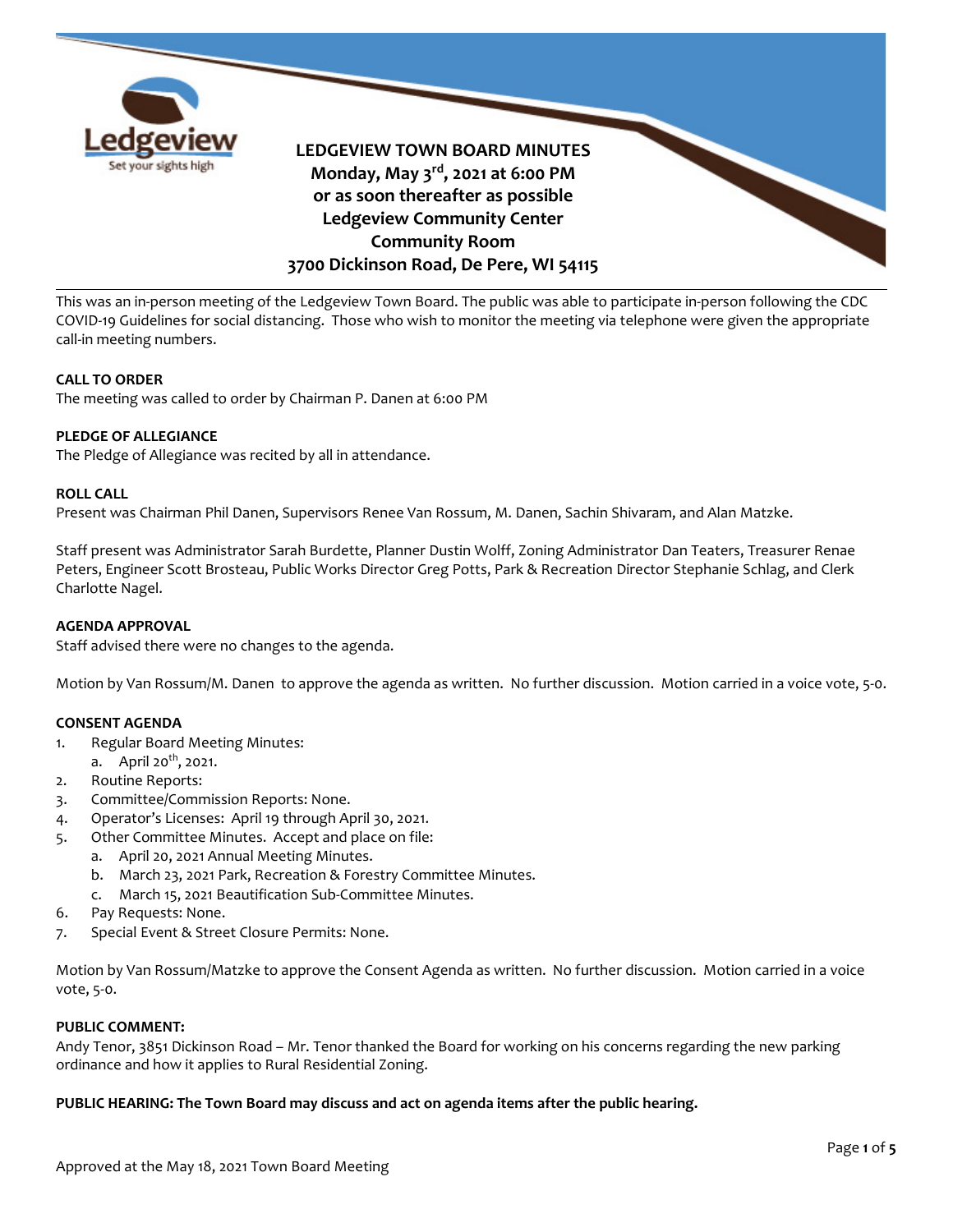

This was an in-person meeting of the Ledgeview Town Board. The public was able to participate in-person following the CDC COVID-19 Guidelines for social distancing. Those who wish to monitor the meeting via telephone were given the appropriate call-in meeting numbers.

# **CALL TO ORDER**

The meeting was called to order by Chairman P. Danen at 6:00 PM

# **PLEDGE OF ALLEGIANCE**

The Pledge of Allegiance was recited by all in attendance.

## **ROLL CALL**

Present was Chairman Phil Danen, Supervisors Renee Van Rossum, M. Danen, Sachin Shivaram, and Alan Matzke.

Staff present was Administrator Sarah Burdette, Planner Dustin Wolff, Zoning Administrator Dan Teaters, Treasurer Renae Peters, Engineer Scott Brosteau, Public Works Director Greg Potts, Park & Recreation Director Stephanie Schlag, and Clerk Charlotte Nagel.

### **AGENDA APPROVAL**

Staff advised there were no changes to the agenda.

Motion by Van Rossum/M. Danen to approve the agenda as written. No further discussion. Motion carried in a voice vote, 5-0.

### **CONSENT AGENDA**

- 1. Regular Board Meeting Minutes:
- a. April  $20^{th}$ , 2021.
- 2. Routine Reports:
- 3. Committee/Commission Reports: None.
- 4. Operator's Licenses: April 19 through April 30, 2021.
- 5. Other Committee Minutes. Accept and place on file:
	- a. April 20, 2021 Annual Meeting Minutes.
	- b. March 23, 2021 Park, Recreation & Forestry Committee Minutes.
	- c. March 15, 2021 Beautification Sub-Committee Minutes.
- 6. Pay Requests: None.
- 7. Special Event & Street Closure Permits: None.

Motion by Van Rossum/Matzke to approve the Consent Agenda as written. No further discussion. Motion carried in a voice vote, 5-0.

## **PUBLIC COMMENT:**

Andy Tenor, 3851 Dickinson Road – Mr. Tenor thanked the Board for working on his concerns regarding the new parking ordinance and how it applies to Rural Residential Zoning.

### **PUBLIC HEARING: The Town Board may discuss and act on agenda items after the public hearing.**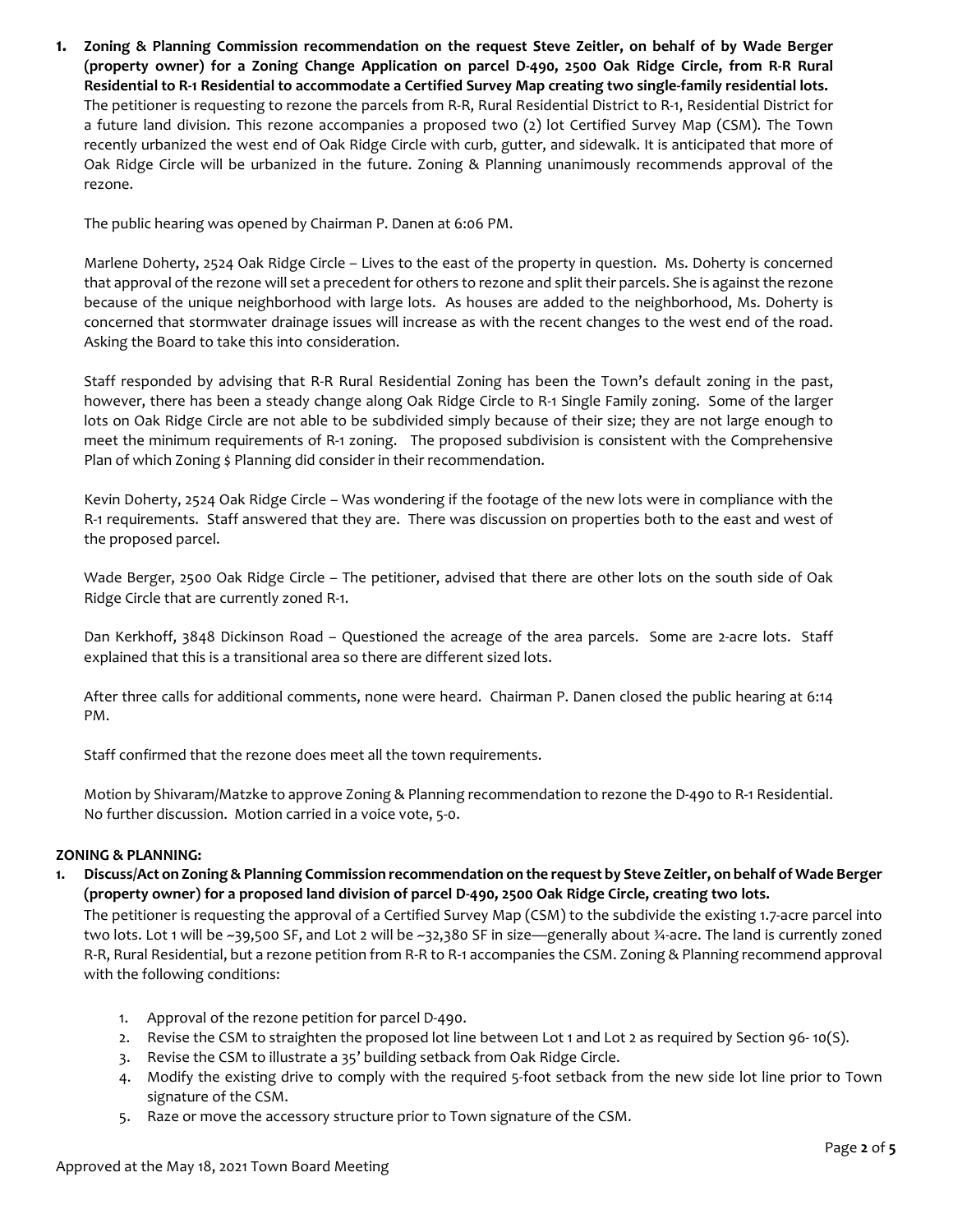**1. Zoning & Planning Commission recommendation on the request Steve Zeitler, on behalf of by Wade Berger (property owner) for a Zoning Change Application on parcel D-490, 2500 Oak Ridge Circle, from R-R Rural Residential to R-1 Residential to accommodate a Certified Survey Map creating two single-family residential lots.** The petitioner is requesting to rezone the parcels from R-R, Rural Residential District to R-1, Residential District for a future land division. This rezone accompanies a proposed two (2) lot Certified Survey Map (CSM). The Town recently urbanized the west end of Oak Ridge Circle with curb, gutter, and sidewalk. It is anticipated that more of Oak Ridge Circle will be urbanized in the future. Zoning & Planning unanimously recommends approval of the rezone.

The public hearing was opened by Chairman P. Danen at 6:06 PM.

Marlene Doherty, 2524 Oak Ridge Circle – Lives to the east of the property in question. Ms. Doherty is concerned that approval of the rezone will set a precedent for others to rezone and split their parcels. She is against the rezone because of the unique neighborhood with large lots. As houses are added to the neighborhood, Ms. Doherty is concerned that stormwater drainage issues will increase as with the recent changes to the west end of the road. Asking the Board to take this into consideration.

Staff responded by advising that R-R Rural Residential Zoning has been the Town's default zoning in the past, however, there has been a steady change along Oak Ridge Circle to R-1 Single Family zoning. Some of the larger lots on Oak Ridge Circle are not able to be subdivided simply because of their size; they are not large enough to meet the minimum requirements of R-1 zoning. The proposed subdivision is consistent with the Comprehensive Plan of which Zoning \$ Planning did consider in their recommendation.

Kevin Doherty, 2524 Oak Ridge Circle – Was wondering if the footage of the new lots were in compliance with the R-1 requirements. Staff answered that they are. There was discussion on properties both to the east and west of the proposed parcel.

Wade Berger, 2500 Oak Ridge Circle – The petitioner, advised that there are other lots on the south side of Oak Ridge Circle that are currently zoned R-1.

Dan Kerkhoff, 3848 Dickinson Road – Questioned the acreage of the area parcels. Some are 2-acre lots. Staff explained that this is a transitional area so there are different sized lots.

After three calls for additional comments, none were heard. Chairman P. Danen closed the public hearing at 6:14 PM.

Staff confirmed that the rezone does meet all the town requirements.

Motion by Shivaram/Matzke to approve Zoning & Planning recommendation to rezone the D-490 to R-1 Residential. No further discussion. Motion carried in a voice vote, 5-0.

# **ZONING & PLANNING:**

**1. Discuss/Act on Zoning & Planning Commission recommendation on the request by Steve Zeitler, on behalf of Wade Berger (property owner) for a proposed land division of parcel D-490, 2500 Oak Ridge Circle, creating two lots.** 

The petitioner is requesting the approval of a Certified Survey Map (CSM) to the subdivide the existing 1.7-acre parcel into two lots. Lot 1 will be ~39,500 SF, and Lot 2 will be ~32,380 SF in size—generally about ¾-acre. The land is currently zoned R-R, Rural Residential, but a rezone petition from R-R to R-1 accompanies the CSM. Zoning & Planning recommend approval with the following conditions:

- 1. Approval of the rezone petition for parcel D-490.
- 2. Revise the CSM to straighten the proposed lot line between Lot 1 and Lot 2 as required by Section 96- 10(S).
- 3. Revise the CSM to illustrate a 35' building setback from Oak Ridge Circle.
- 4. Modify the existing drive to comply with the required 5-foot setback from the new side lot line prior to Town signature of the CSM.
- 5. Raze or move the accessory structure prior to Town signature of the CSM.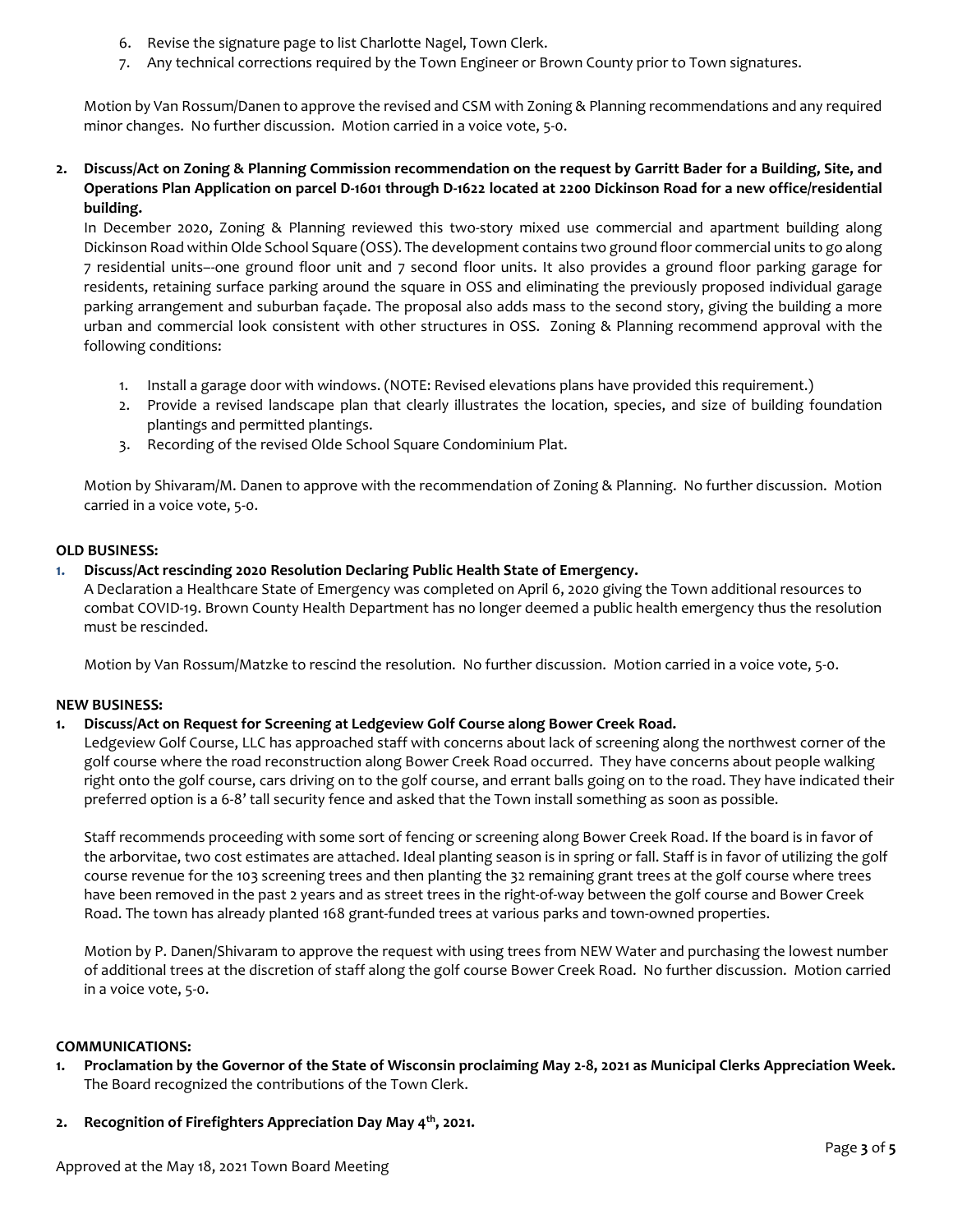- 6. Revise the signature page to list Charlotte Nagel, Town Clerk.
- 7. Any technical corrections required by the Town Engineer or Brown County prior to Town signatures.

Motion by Van Rossum/Danen to approve the revised and CSM with Zoning & Planning recommendations and any required minor changes. No further discussion. Motion carried in a voice vote, 5-0.

# **2. Discuss/Act on Zoning & Planning Commission recommendation on the request by Garritt Bader for a Building, Site, and Operations Plan Application on parcel D-1601 through D-1622 located at 2200 Dickinson Road for a new office/residential building.**

In December 2020, Zoning & Planning reviewed this two-story mixed use commercial and apartment building along Dickinson Road within Olde School Square (OSS). The development contains two ground floor commercial units to go along 7 residential units–-one ground floor unit and 7 second floor units. It also provides a ground floor parking garage for residents, retaining surface parking around the square in OSS and eliminating the previously proposed individual garage parking arrangement and suburban façade. The proposal also adds mass to the second story, giving the building a more urban and commercial look consistent with other structures in OSS. Zoning & Planning recommend approval with the following conditions:

- 1. Install a garage door with windows. (NOTE: Revised elevations plans have provided this requirement.)
- 2. Provide a revised landscape plan that clearly illustrates the location, species, and size of building foundation plantings and permitted plantings.
- 3. Recording of the revised Olde School Square Condominium Plat.

Motion by Shivaram/M. Danen to approve with the recommendation of Zoning & Planning. No further discussion. Motion carried in a voice vote, 5-0.

# **OLD BUSINESS:**

# **1. Discuss/Act rescinding 2020 Resolution Declaring Public Health State of Emergency.**

A Declaration a Healthcare State of Emergency was completed on April 6, 2020 giving the Town additional resources to combat COVID-19. Brown County Health Department has no longer deemed a public health emergency thus the resolution must be rescinded.

Motion by Van Rossum/Matzke to rescind the resolution. No further discussion. Motion carried in a voice vote, 5-0.

# **NEW BUSINESS:**

# **1. Discuss/Act on Request for Screening at Ledgeview Golf Course along Bower Creek Road.**

Ledgeview Golf Course, LLC has approached staff with concerns about lack of screening along the northwest corner of the golf course where the road reconstruction along Bower Creek Road occurred. They have concerns about people walking right onto the golf course, cars driving on to the golf course, and errant balls going on to the road. They have indicated their preferred option is a 6-8' tall security fence and asked that the Town install something as soon as possible.

Staff recommends proceeding with some sort of fencing or screening along Bower Creek Road. If the board is in favor of the arborvitae, two cost estimates are attached. Ideal planting season is in spring or fall. Staff is in favor of utilizing the golf course revenue for the 103 screening trees and then planting the 32 remaining grant trees at the golf course where trees have been removed in the past 2 years and as street trees in the right-of-way between the golf course and Bower Creek Road. The town has already planted 168 grant-funded trees at various parks and town-owned properties.

Motion by P. Danen/Shivaram to approve the request with using trees from NEW Water and purchasing the lowest number of additional trees at the discretion of staff along the golf course Bower Creek Road. No further discussion. Motion carried in a voice vote, 5-0.

# **COMMUNICATIONS:**

- **1. Proclamation by the Governor of the State of Wisconsin proclaiming May 2-8, 2021 as Municipal Clerks Appreciation Week.** The Board recognized the contributions of the Town Clerk.
- **2. Recognition of Firefighters Appreciation Day May 4th, 2021.**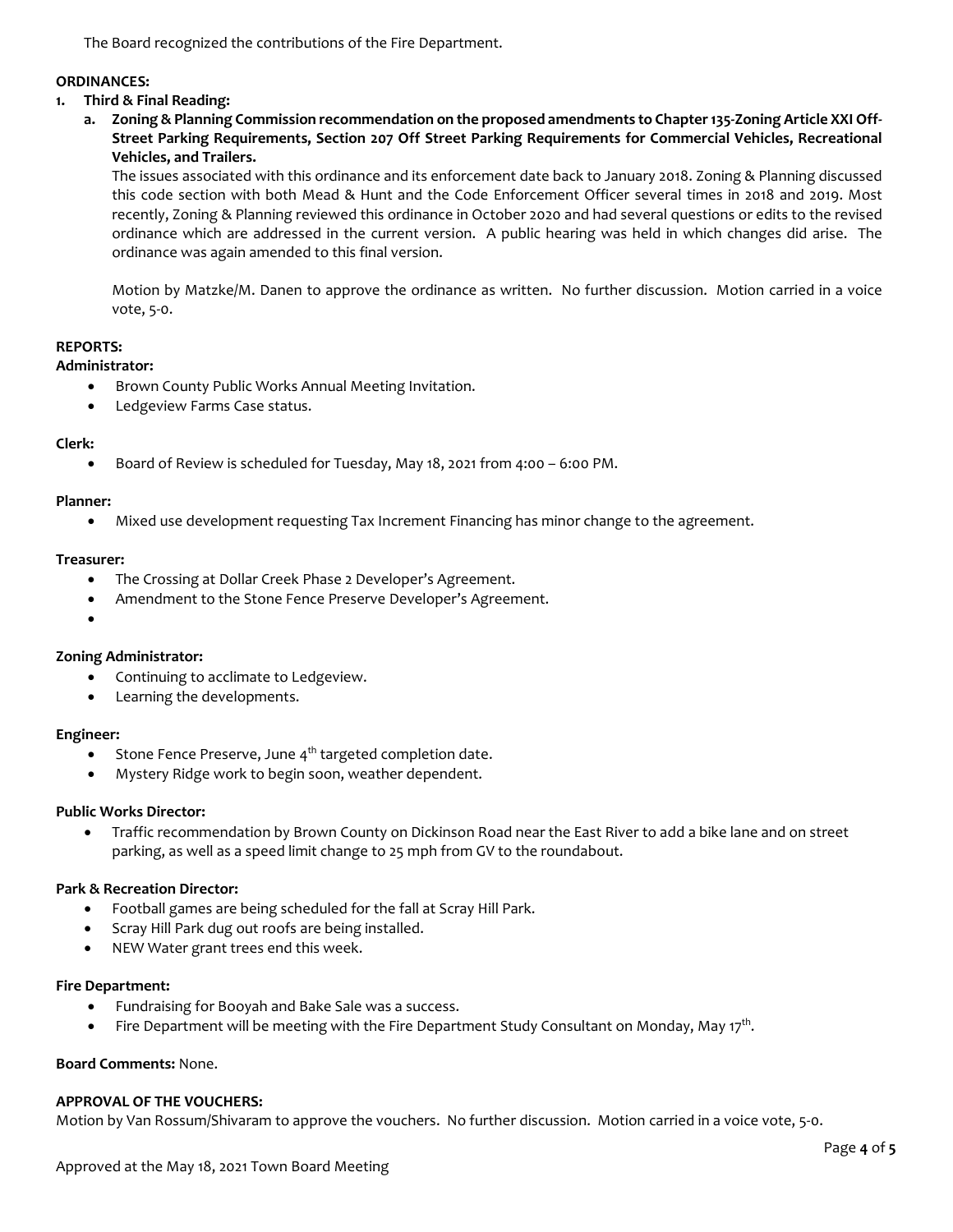The Board recognized the contributions of the Fire Department.

# **ORDINANCES:**

# **1. Third & Final Reading:**

**a. Zoning & Planning Commission recommendation on the proposed amendments to Chapter 135-Zoning Article XXI Off-Street Parking Requirements, Section 207 Off Street Parking Requirements for Commercial Vehicles, Recreational Vehicles, and Trailers.**

The issues associated with this ordinance and its enforcement date back to January 2018. Zoning & Planning discussed this code section with both Mead & Hunt and the Code Enforcement Officer several times in 2018 and 2019. Most recently, Zoning & Planning reviewed this ordinance in October 2020 and had several questions or edits to the revised ordinance which are addressed in the current version. A public hearing was held in which changes did arise. The ordinance was again amended to this final version.

Motion by Matzke/M. Danen to approve the ordinance as written. No further discussion. Motion carried in a voice vote, 5-0.

## **REPORTS:**

## **Administrator:**

- Brown County Public Works Annual Meeting Invitation.
- Ledgeview Farms Case status.

## **Clerk:**

• Board of Review is scheduled for Tuesday, May 18, 2021 from 4:00 – 6:00 PM.

### **Planner:**

• Mixed use development requesting Tax Increment Financing has minor change to the agreement.

## **Treasurer:**

- The Crossing at Dollar Creek Phase 2 Developer's Agreement.
- Amendment to the Stone Fence Preserve Developer's Agreement.
- •

# **Zoning Administrator:**

- Continuing to acclimate to Ledgeview.
- Learning the developments.

### **Engineer:**

- Stone Fence Preserve, June  $4<sup>th</sup>$  targeted completion date.
- Mystery Ridge work to begin soon, weather dependent.

### **Public Works Director:**

• Traffic recommendation by Brown County on Dickinson Road near the East River to add a bike lane and on street parking, as well as a speed limit change to 25 mph from GV to the roundabout.

### **Park & Recreation Director:**

- Football games are being scheduled for the fall at Scray Hill Park.
- Scray Hill Park dug out roofs are being installed.
- NEW Water grant trees end this week.

### **Fire Department:**

- Fundraising for Booyah and Bake Sale was a success.
- Fire Department will be meeting with the Fire Department Study Consultant on Monday, May 17<sup>th</sup>.

# **Board Comments:** None.

### **APPROVAL OF THE VOUCHERS:**

Motion by Van Rossum/Shivaram to approve the vouchers. No further discussion. Motion carried in a voice vote, 5-0.